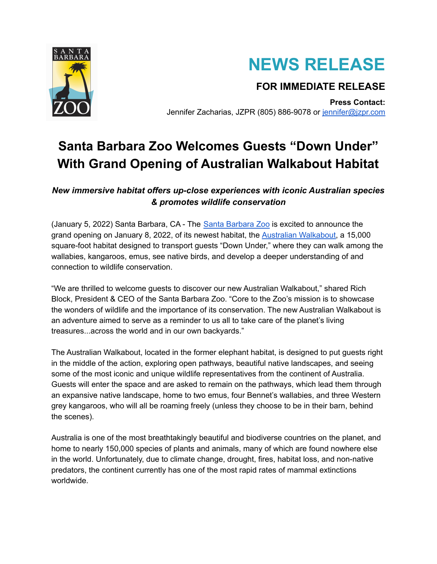



## **FOR IMMEDIATE RELEASE**

**Press Contact:** Jennifer Zacharias, JZPR (805) 886-9078 or [jennifer@jzpr.com](mailto:jennifer@jzpr.com)

# **Santa Barbara Zoo Welcomes Guests "Down Under" With Grand Opening of Australian Walkabout Habitat**

*New immersive habitat offers up-close experiences with iconic Australian species & promotes wildlife conservation*

(January 5, 2022) Santa Barbara, CA - The Santa [Barbara](https://www.sbzoo.org/) Zoo is excited to announce the grand opening on January 8, 2022, of its newest habitat, the Australian [Walkabout,](https://www.sbzoo.org/support/australian-walkabout/) a 15,000 square-foot habitat designed to transport guests "Down Under," where they can walk among the wallabies, kangaroos, emus, see native birds, and develop a deeper understanding of and connection to wildlife conservation.

"We are thrilled to welcome guests to discover our new Australian Walkabout," shared Rich Block, President & CEO of the Santa Barbara Zoo. "Core to the Zoo's mission is to showcase the wonders of wildlife and the importance of its conservation. The new Australian Walkabout is an adventure aimed to serve as a reminder to us all to take care of the planet's living treasures...across the world and in our own backyards."

The Australian Walkabout, located in the former elephant habitat, is designed to put guests right in the middle of the action, exploring open pathways, beautiful native landscapes, and seeing some of the most iconic and unique wildlife representatives from the continent of Australia. Guests will enter the space and are asked to remain on the pathways, which lead them through an expansive native landscape, home to two emus, four Bennet's wallabies, and three Western grey kangaroos, who will all be roaming freely (unless they choose to be in their barn, behind the scenes).

Australia is one of the most breathtakingly beautiful and biodiverse countries on the planet, and home to nearly 150,000 species of plants and animals, many of which are found nowhere else in the world. Unfortunately, due to climate change, drought, fires, habitat loss, and non-native predators, the continent currently has one of the most rapid rates of mammal extinctions worldwide.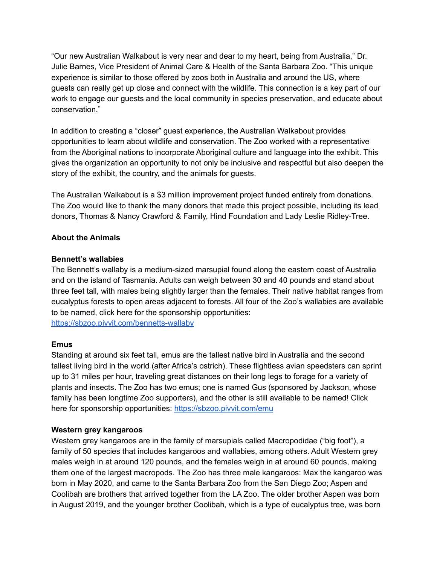"Our new Australian Walkabout is very near and dear to my heart, being from Australia," Dr. Julie Barnes, Vice President of Animal Care & Health of the Santa Barbara Zoo. "This unique experience is similar to those offered by zoos both in Australia and around the US, where guests can really get up close and connect with the wildlife. This connection is a key part of our work to engage our guests and the local community in species preservation, and educate about conservation."

In addition to creating a "closer" guest experience, the Australian Walkabout provides opportunities to learn about wildlife and conservation. The Zoo worked with a representative from the Aboriginal nations to incorporate Aboriginal culture and language into the exhibit. This gives the organization an opportunity to not only be inclusive and respectful but also deepen the story of the exhibit, the country, and the animals for guests.

The Australian Walkabout is a \$3 million improvement project funded entirely from donations. The Zoo would like to thank the many donors that made this project possible, including its lead donors, Thomas & Nancy Crawford & Family, Hind Foundation and Lady Leslie Ridley-Tree.

#### **About the Animals**

#### **Bennett's wallabies**

The Bennett's wallaby is a medium-sized marsupial found along the eastern coast of Australia and on the island of Tasmania. Adults can weigh between 30 and 40 pounds and stand about three feet tall, with males being slightly larger than the females. Their native habitat ranges from eucalyptus forests to open areas adjacent to forests. All four of the Zoo's wallabies are available to be named, click here for the sponsorship opportunities: <https://sbzoo.pivvit.com/bennetts-wallaby>

#### **Emus**

Standing at around six feet tall, emus are the tallest native bird in Australia and the second tallest living bird in the world (after Africa's ostrich). These flightless avian speedsters can sprint up to 31 miles per hour, traveling great distances on their long legs to forage for a variety of plants and insects. The Zoo has two emus; one is named Gus (sponsored by Jackson, whose family has been longtime Zoo supporters), and the other is still available to be named! Click here for sponsorship opportunities: <https://sbzoo.pivvit.com/emu>

#### **Western grey kangaroos**

Western grey kangaroos are in the family of marsupials called Macropodidae ("big foot"), a family of 50 species that includes kangaroos and wallabies, among others. Adult Western grey males weigh in at around 120 pounds, and the females weigh in at around 60 pounds, making them one of the largest macropods. The Zoo has three male kangaroos: Max the kangaroo was born in May 2020, and came to the Santa Barbara Zoo from the San Diego Zoo; Aspen and Coolibah are brothers that arrived together from the LA Zoo. The older brother Aspen was born in August 2019, and the younger brother Coolibah, which is a type of eucalyptus tree, was born